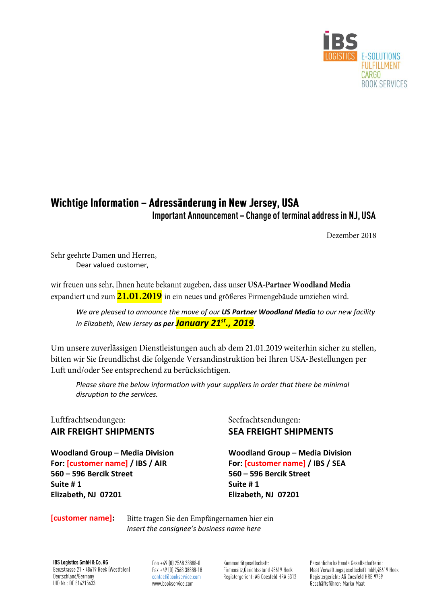

## Wichtige Information - Adressänderung in New Jersey, USA Important Announcement - Change of terminal address in NJ, USA

Dezember 2018

Sehr geehrte Damen und Herren, Dear valued customer,

wir freuen uns sehr, Ihnen heute bekannt zugeben, dass unser USA-Partner Woodland Media expandiert und zum 21.01.2019 in ein neues und größeres Firmengebäude umziehen wird.

*We are pleased to announce the move of our US Partner Woodland Media to our new facility in Elizabeth, New Jersey as per January 21st., 2019.*

Um unsere zuverlässigen Dienstleistungen auch ab dem 21.01.2019 weiterhin sicher zu stellen, bitten wir Sie freundlichst die folgende Versandinstruktion bei Ihren USA-Bestellungen per Luft und/oder See entsprechend zu berücksichtigen.

*Please share the below information with your suppliers in order that there be minimal disruption to the services.*

Luftfrachtsendungen:

For: [customer name] / IBS / AIR For: [customer name] / IBS / SEA **560 – 596 Bercik Street 560 – 596 Bercik Street Suite # 1 Suite # 1 Elizabeth, NJ 07201 Elizabeth, NJ 07201**

Seefrachtsendungen: **AIR FREIGHT SHIPMENTS SEA FREIGHT SHIPMENTS**

**Woodland Group – Media Division Woodland Group – Media Division**

## **[customer name]:**

Bitte tragen Sie den Empfängernamen hier ein *Insert the consignee's business name here*

IBS Logistics GmbH & Co. KG Benzstrasse 21 · 48619 Heek (Westfalen) Deutschland/Germany UID Nr.: DE 814215633

Fon +49 (0) 2568 38888-0 Fax +49 (0) 2568 38888-18 contact@bookservice.com www.bookservice.com

Kommanditgesellschaft: Firmensitz, Gerichtsstand 48619 Heek Registergericht: AG Coesfeld HRA 5312

Persönliche haftende Gesellschafterin: Maat Verwaltungsgesellschaft mbH,48619 Heek Registergericht: AG Coesfeld HRB 9759 Geschäftsführer: Marko Maat